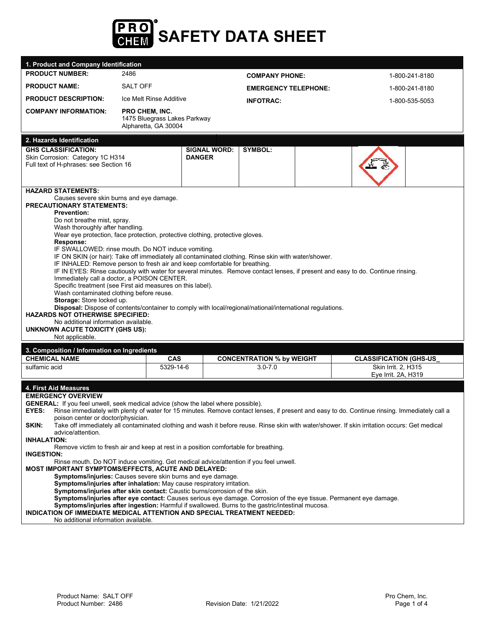

| 1. Product and Company Identification                                                                                                                                                                                                                                                                                                                                                                                                     |                                                                                                                                                                                                                                                                                                                                                                                                                                                                                                                                                                                                                                                                                        |                                      |                                  |                                                                                                                                                                                                                                                                                                |
|-------------------------------------------------------------------------------------------------------------------------------------------------------------------------------------------------------------------------------------------------------------------------------------------------------------------------------------------------------------------------------------------------------------------------------------------|----------------------------------------------------------------------------------------------------------------------------------------------------------------------------------------------------------------------------------------------------------------------------------------------------------------------------------------------------------------------------------------------------------------------------------------------------------------------------------------------------------------------------------------------------------------------------------------------------------------------------------------------------------------------------------------|--------------------------------------|----------------------------------|------------------------------------------------------------------------------------------------------------------------------------------------------------------------------------------------------------------------------------------------------------------------------------------------|
| <b>PRODUCT NUMBER:</b>                                                                                                                                                                                                                                                                                                                                                                                                                    | 2486                                                                                                                                                                                                                                                                                                                                                                                                                                                                                                                                                                                                                                                                                   |                                      | <b>COMPANY PHONE:</b>            | 1-800-241-8180                                                                                                                                                                                                                                                                                 |
| <b>PRODUCT NAME:</b>                                                                                                                                                                                                                                                                                                                                                                                                                      | <b>SALT OFF</b>                                                                                                                                                                                                                                                                                                                                                                                                                                                                                                                                                                                                                                                                        |                                      | <b>EMERGENCY TELEPHONE:</b>      | 1-800-241-8180                                                                                                                                                                                                                                                                                 |
| <b>PRODUCT DESCRIPTION:</b>                                                                                                                                                                                                                                                                                                                                                                                                               | Ice Melt Rinse Additive                                                                                                                                                                                                                                                                                                                                                                                                                                                                                                                                                                                                                                                                |                                      | <b>INFOTRAC:</b>                 | 1-800-535-5053                                                                                                                                                                                                                                                                                 |
| <b>COMPANY INFORMATION:</b>                                                                                                                                                                                                                                                                                                                                                                                                               | <b>PRO CHEM, INC.</b><br>1475 Bluegrass Lakes Parkway<br>Alpharetta, GA 30004                                                                                                                                                                                                                                                                                                                                                                                                                                                                                                                                                                                                          |                                      |                                  |                                                                                                                                                                                                                                                                                                |
| 2. Hazards Identification                                                                                                                                                                                                                                                                                                                                                                                                                 |                                                                                                                                                                                                                                                                                                                                                                                                                                                                                                                                                                                                                                                                                        |                                      |                                  |                                                                                                                                                                                                                                                                                                |
| <b>GHS CLASSIFICATION:</b><br>Skin Corrosion: Category 1C H314<br>Full text of H-phrases: see Section 16                                                                                                                                                                                                                                                                                                                                  |                                                                                                                                                                                                                                                                                                                                                                                                                                                                                                                                                                                                                                                                                        | <b>SIGNAL WORD:</b><br><b>DANGER</b> | SYMBOL:                          |                                                                                                                                                                                                                                                                                                |
| <b>HAZARD STATEMENTS:</b><br>Causes severe skin burns and eye damage.<br><b>PRECAUTIONARY STATEMENTS:</b><br><b>Prevention:</b><br>Do not breathe mist, spray.<br>Wash thoroughly after handling.<br>Response:<br>Wash contaminated clothing before reuse.<br>Storage: Store locked up.<br><b>HAZARDS NOT OTHERWISE SPECIFIED:</b><br>No additional information available.<br><b>UNKNOWN ACUTE TOXICITY (GHS US):</b><br>Not applicable.  | Wear eye protection, face protection, protective clothing, protective gloves.<br>IF SWALLOWED: rinse mouth. Do NOT induce vomiting.<br>IF ON SKIN (or hair): Take off immediately all contaminated clothing. Rinse skin with water/shower.<br>IF INHALED: Remove person to fresh air and keep comfortable for breathing.<br>IF IN EYES: Rinse cautiously with water for several minutes. Remove contact lenses, if present and easy to do. Continue rinsing.<br>Immediately call a doctor, a POISON CENTER.<br>Specific treatment (see First aid measures on this label).<br>Disposal: Dispose of contents/container to comply with local/regional/national/international regulations. |                                      |                                  |                                                                                                                                                                                                                                                                                                |
| 3. Composition / Information on Ingredients                                                                                                                                                                                                                                                                                                                                                                                               |                                                                                                                                                                                                                                                                                                                                                                                                                                                                                                                                                                                                                                                                                        |                                      |                                  |                                                                                                                                                                                                                                                                                                |
| <b>CHEMICAL NAME</b>                                                                                                                                                                                                                                                                                                                                                                                                                      | <b>CAS</b>                                                                                                                                                                                                                                                                                                                                                                                                                                                                                                                                                                                                                                                                             |                                      | <b>CONCENTRATION % by WEIGHT</b> | <b>CLASSIFICATION (GHS-US_</b>                                                                                                                                                                                                                                                                 |
| sulfamic acid                                                                                                                                                                                                                                                                                                                                                                                                                             | 5329-14-6                                                                                                                                                                                                                                                                                                                                                                                                                                                                                                                                                                                                                                                                              |                                      | $3.0 - 7.0$                      | Skin Irrit. 2. H315<br>Eye Irrit. 2A, H319                                                                                                                                                                                                                                                     |
| 4. First Aid Measures<br><b>EMERGENCY OVERVIEW</b><br><b>GENERAL:</b> If you feel unwell, seek medical advice (show the label where possible).<br>EYES:<br>poison center or doctor/physician.<br>SKIN:<br>advice/attention.<br>INHALATION:<br><b>INGESTION:</b><br>MOST IMPORTANT SYMPTOMS/EFFECTS, ACUTE AND DELAYED:<br>INDICATION OF IMMEDIATE MEDICAL ATTENTION AND SPECIAL TREATMENT NEEDED:<br>No additional information available. | Remove victim to fresh air and keep at rest in a position comfortable for breathing.<br>Rinse mouth. Do NOT induce vomiting. Get medical advice/attention if you feel unwell.<br>Symptoms/injuries: Causes severe skin burns and eye damage.<br>Symptoms/injuries after inhalation: May cause respiratory irritation.<br>Symptoms/injuries after skin contact: Caustic burns/corrosion of the skin.<br>Symptoms/injuries after eye contact: Causes serious eye damage. Corrosion of the eye tissue. Permanent eye damage.<br>Symptoms/injuries after ingestion: Harmful if swallowed. Burns to the gastric/intestinal mucosa.                                                          |                                      |                                  | Rinse immediately with plenty of water for 15 minutes. Remove contact lenses, if present and easy to do. Continue rinsing. Immediately call a<br>Take off immediately all contaminated clothing and wash it before reuse. Rinse skin with water/shower. If skin irritation occurs: Get medical |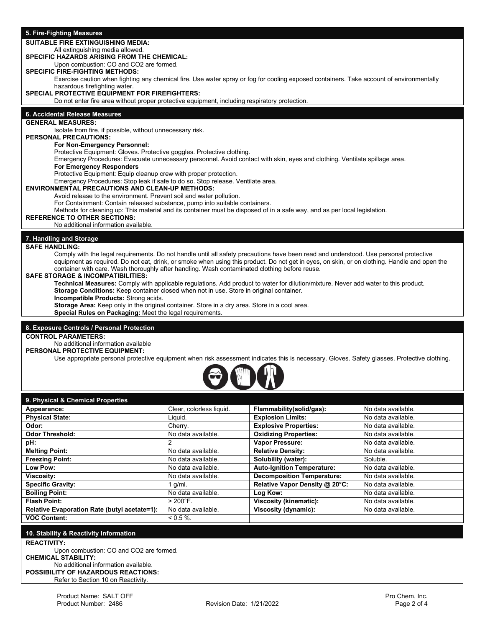### **5. Fire-Fighting Measures**

## **SUITABLE FIRE EXTINGUISHING MEDIA:**

## All extinguishing media allowed.

**SPECIFIC HAZARDS ARISING FROM THE CHEMICAL:** 

Upon combustion: CO and CO2 are formed.

# **SPECIFIC FIRE-FIGHTING METHODS:**

Exercise caution when fighting any chemical fire. Use water spray or fog for cooling exposed containers. Take account of environmentally hazardous firefighting water.

#### **SPECIAL PROTECTIVE EQUIPMENT FOR FIREFIGHTERS:**

Do not enter fire area without proper protective equipment, including respiratory protection.

### **6. Accidental Release Measures**

## **GENERAL MEASURES:**

Isolate from fire, if possible, without unnecessary risk.

## **PERSONAL PRECAUTIONS:**

**For Non-Emergency Personnel:** 

Protective Equipment: Gloves. Protective goggles. Protective clothing.

Emergency Procedures: Evacuate unnecessary personnel. Avoid contact with skin, eyes and clothing. Ventilate spillage area.

#### **For Emergency Responders**

Protective Equipment: Equip cleanup crew with proper protection.

Emergency Procedures: Stop leak if safe to do so. Stop release. Ventilate area.

#### **ENVIRONMENTAL PRECAUTIONS AND CLEAN-UP METHODS:**

Avoid release to the environment. Prevent soil and water pollution.

For Containment: Contain released substance, pump into suitable containers.

Methods for cleaning up: This material and its container must be disposed of in a safe way, and as per local legislation.

#### **REFERENCE TO OTHER SECTIONS:**

No additional information available.

#### **7. Handling and Storage**

**SAFE HANDLING:** 

Comply with the legal requirements. Do not handle until all safety precautions have been read and understood. Use personal protective equipment as required. Do not eat, drink, or smoke when using this product. Do not get in eyes, on skin, or on clothing. Handle and open the container with care. Wash thoroughly after handling. Wash contaminated clothing before reuse.

#### **SAFE STORAGE & INCOMPATIBILITIES:**

**Technical Measures:** Comply with applicable regulations. Add product to water for dilution/mixture. Never add water to this product. **Storage Conditions:** Keep container closed when not in use. Store in original container.

**Incompatible Products:** Strong acids.

**Storage Area:** Keep only in the original container. Store in a dry area. Store in a cool area.

**Special Rules on Packaging:** Meet the legal requirements.

## **8. Exposure Controls / Personal Protection**

## **CONTROL PARAMETERS:**

No additional information available

**PERSONAL PROTECTIVE EQUIPMENT:**

Use appropriate personal protective equipment when risk assessment indicates this is necessary. Gloves. Safety glasses. Protective clothing.



| 9. Physical & Chemical Properties            |                          |                                   |                    |
|----------------------------------------------|--------------------------|-----------------------------------|--------------------|
| Appearance:                                  | Clear, colorless liquid. | Flammability(solid/gas):          | No data available. |
| <b>Physical State:</b>                       | Liauid.                  | <b>Explosion Limits:</b>          | No data available. |
| Odor:                                        | Cherry.                  | <b>Explosive Properties:</b>      | No data available. |
| <b>Odor Threshold:</b>                       | No data available.       | <b>Oxidizing Properties:</b>      | No data available. |
| pH:                                          | 2                        | <b>Vapor Pressure:</b>            | No data available. |
| <b>Melting Point:</b>                        | No data available.       | <b>Relative Density:</b>          | No data available. |
| <b>Freezing Point:</b>                       | No data available.       | Solubility (water):               | Soluble.           |
| Low Pow:                                     | No data available.       | <b>Auto-Ignition Temperature:</b> | No data available. |
| Viscosity:                                   | No data available.       | <b>Decomposition Temperature:</b> | No data available. |
| <b>Specific Gravity:</b>                     | a/ml.                    | Relative Vapor Density @ 20°C:    | No data available. |
| <b>Boiling Point:</b>                        | No data available.       | Log Kow:                          | No data available. |
| <b>Flash Point:</b>                          | $> 200^{\circ}$ F.       | <b>Viscosity (kinematic):</b>     | No data available. |
| Relative Evaporation Rate (butyl acetate=1): | No data available.       | Viscosity (dynamic):              | No data available. |
| <b>VOC Content:</b>                          | $0.5\%$ .                |                                   |                    |

#### **10. Stability & Reactivity Information**

**REACTIVITY:**

Upon combustion: CO and CO2 are formed. **CHEMICAL STABILITY:**  No additional information available. **POSSIBILITY OF HAZARDOUS REACTIONS:** Refer to Section 10 on Reactivity.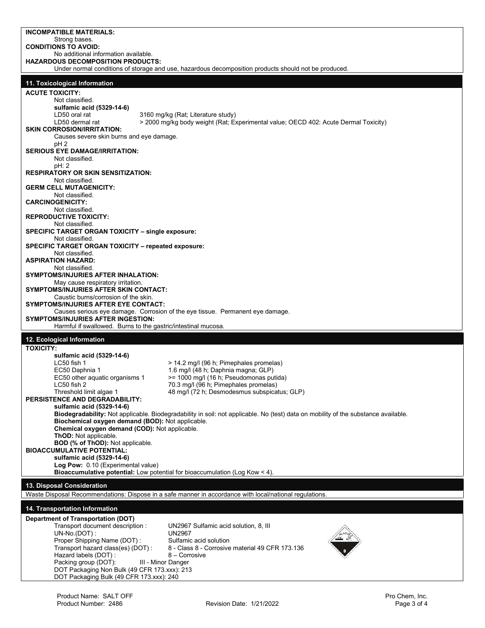| <b>INCOMPATIBLE MATERIALS:</b><br>Strong bases.                                                            |                                                                                                                                    |
|------------------------------------------------------------------------------------------------------------|------------------------------------------------------------------------------------------------------------------------------------|
| <b>CONDITIONS TO AVOID:</b>                                                                                |                                                                                                                                    |
| No additional information available.<br><b>HAZARDOUS DECOMPOSITION PRODUCTS:</b>                           |                                                                                                                                    |
|                                                                                                            | Under normal conditions of storage and use, hazardous decomposition products should not be produced.                               |
| 11. Toxicological Information                                                                              |                                                                                                                                    |
| <b>ACUTE TOXICITY:</b>                                                                                     |                                                                                                                                    |
| Not classified.                                                                                            |                                                                                                                                    |
| sulfamic acid (5329-14-6)<br>LD50 oral rat                                                                 | 3160 mg/kg (Rat; Literature study)                                                                                                 |
| LD50 dermal rat                                                                                            | > 2000 mg/kg body weight (Rat; Experimental value; OECD 402: Acute Dermal Toxicity)                                                |
| <b>SKIN CORROSION/IRRITATION:</b><br>Causes severe skin burns and eye damage.                              |                                                                                                                                    |
| pH <sub>2</sub>                                                                                            |                                                                                                                                    |
| <b>SERIOUS EYE DAMAGE/IRRITATION:</b><br>Not classified.                                                   |                                                                                                                                    |
| pH: 2                                                                                                      |                                                                                                                                    |
| <b>RESPIRATORY OR SKIN SENSITIZATION:</b><br>Not classified.                                               |                                                                                                                                    |
| <b>GERM CELL MUTAGENICITY:</b>                                                                             |                                                                                                                                    |
| Not classified.<br><b>CARCINOGENICITY:</b>                                                                 |                                                                                                                                    |
| Not classified.                                                                                            |                                                                                                                                    |
| <b>REPRODUCTIVE TOXICITY:</b><br>Not classified.                                                           |                                                                                                                                    |
| <b>SPECIFIC TARGET ORGAN TOXICITY - single exposure:</b>                                                   |                                                                                                                                    |
| Not classified.<br><b>SPECIFIC TARGET ORGAN TOXICITY - repeated exposure:</b>                              |                                                                                                                                    |
| Not classified.<br><b>ASPIRATION HAZARD:</b>                                                               |                                                                                                                                    |
| Not classified.                                                                                            |                                                                                                                                    |
| <b>SYMPTOMS/INJURIES AFTER INHALATION:</b><br>May cause respiratory irritation.                            |                                                                                                                                    |
| SYMPTOMS/INJURIES AFTER SKIN CONTACT:                                                                      |                                                                                                                                    |
| Caustic burns/corrosion of the skin.<br>SYMPTOMS/INJURIES AFTER EYE CONTACT:                               |                                                                                                                                    |
|                                                                                                            | Causes serious eye damage. Corrosion of the eye tissue. Permanent eye damage.                                                      |
|                                                                                                            |                                                                                                                                    |
| <b>SYMPTOMS/INJURIES AFTER INGESTION:</b><br>Harmful if swallowed. Burns to the gastric/intestinal mucosa. |                                                                                                                                    |
|                                                                                                            |                                                                                                                                    |
| 12. Ecological Information<br><b>TOXICITY:</b>                                                             |                                                                                                                                    |
| sulfamic acid (5329-14-6)                                                                                  |                                                                                                                                    |
| LC50 fish 1<br>EC50 Daphnia 1                                                                              | > 14.2 mg/l (96 h; Pimephales promelas)<br>1.6 mg/l (48 h; Daphnia magna; GLP)                                                     |
| EC50 other aquatic organisms 1                                                                             | >= 1000 mg/l (16 h; Pseudomonas putida)                                                                                            |
| LC50 fish 2                                                                                                | 70.3 mg/l (96 h; Pimephales promelas)                                                                                              |
| Threshold limit algae 1<br>PERSISTENCE AND DEGRADABILITY:                                                  | 48 mg/l (72 h; Desmodesmus subspicatus; GLP)                                                                                       |
| sulfamic acid (5329-14-6)                                                                                  |                                                                                                                                    |
| Biochemical oxygen demand (BOD): Not applicable.                                                           | Biodegradability: Not applicable. Biodegradability in soil: not applicable. No (test) data on mobility of the substance available. |
| Chemical oxygen demand (COD): Not applicable.                                                              |                                                                                                                                    |
| ThOD: Not applicable.<br><b>BOD (% of ThOD): Not applicable.</b>                                           |                                                                                                                                    |
| <b>BIOACCUMULATIVE POTENTIAL:</b>                                                                          |                                                                                                                                    |
| sulfamic acid (5329-14-6)<br>Log Pow: 0.10 (Experimental value)                                            |                                                                                                                                    |
| <b>Bioaccumulative potential:</b> Low potential for bioaccumulation (Log Kow $\leq$ 4).                    |                                                                                                                                    |
| 13. Disposal Consideration                                                                                 |                                                                                                                                    |
|                                                                                                            | Waste Disposal Recommendations: Dispose in a safe manner in accordance with local/national regulations.                            |
| 14. Transportation Information                                                                             |                                                                                                                                    |
| <b>Department of Transportation (DOT)</b>                                                                  |                                                                                                                                    |
| Transport document description :<br>UN-No.(DOT):                                                           | UN2967 Sulfamic acid solution, 8, III<br><b>UN2967</b>                                                                             |
| Proper Shipping Name (DOT):                                                                                | Sulfamic acid solution                                                                                                             |
| Transport hazard class(es) (DOT):<br>Hazard labels (DOT):                                                  | 8 - Class 8 - Corrosive material 49 CFR 173.136<br>8 – Corrosive                                                                   |
| Packing group (DOT):<br>III - Minor Danger                                                                 |                                                                                                                                    |
| DOT Packaging Non Bulk (49 CFR 173.xxx): 213<br>DOT Packaging Bulk (49 CFR 173.xxx): 240                   |                                                                                                                                    |